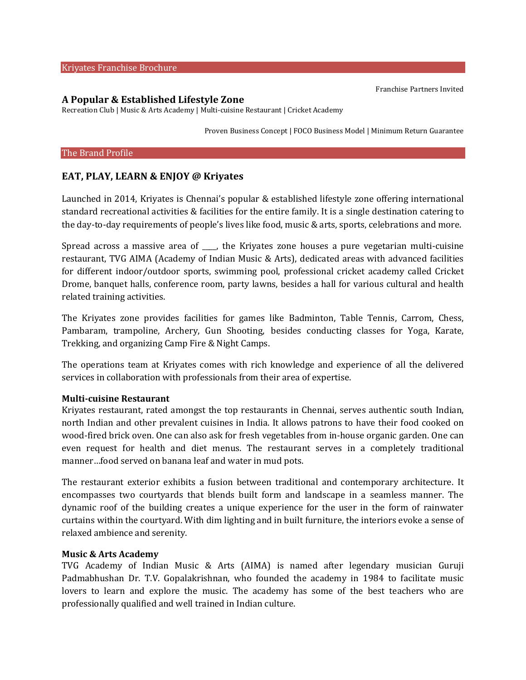#### Kriyates Franchise Brochure

#### **A Popular & Established Lifestyle Zone**

Recreation Club | Music & Arts Academy | Multi-cuisine Restaurant | Cricket Academy

Proven Business Concept | FOCO Business Model | Minimum Return Guarantee

#### The Brand Profile

# **EAT, PLAY, LEARN & ENJOY @ Kriyates**

Launched in 2014, Kriyates is Chennai's popular & established lifestyle zone offering international standard recreational activities & facilities for the entire family. It is a single destination catering to the day-to-day requirements of people's lives like food, music & arts, sports, celebrations and more.

Spread across a massive area of \_\_\_\_, the Kriyates zone houses a pure vegetarian multi-cuisine restaurant, TVG AIMA (Academy of Indian Music & Arts), dedicated areas with advanced facilities for different indoor/outdoor sports, swimming pool, professional cricket academy called Cricket Drome, banquet halls, conference room, party lawns, besides a hall for various cultural and health related training activities.

The Kriyates zone provides facilities for games like Badminton, Table Tennis, Carrom, Chess, Pambaram, trampoline, Archery, Gun Shooting, besides conducting classes for Yoga, Karate, Trekking, and organizing Camp Fire & Night Camps.

The operations team at Kriyates comes with rich knowledge and experience of all the delivered services in collaboration with professionals from their area of expertise.

### **Multi-cuisine Restaurant**

Kriyates restaurant, rated amongst the top restaurants in Chennai, serves authentic south Indian, north Indian and other prevalent cuisines in India. It allows patrons to have their food cooked on wood-fired brick oven. One can also ask for fresh vegetables from in-house organic garden. One can even request for health and diet menus. The restaurant serves in a completely traditional manner…food served on banana leaf and water in mud pots.

The restaurant exterior exhibits a fusion between traditional and contemporary architecture. It encompasses two courtyards that blends built form and landscape in a seamless manner. The dynamic roof of the building creates a unique experience for the user in the form of rainwater curtains within the courtyard. With dim lighting and in built furniture, the interiors evoke a sense of relaxed ambience and serenity.

### **Music & Arts Academy**

TVG Academy of Indian Music & Arts (AIMA) is named after legendary musician Guruji Padmabhushan Dr. T.V. Gopalakrishnan, who founded the academy in 1984 to facilitate music lovers to learn and explore the music. The academy has some of the best teachers who are professionally qualified and well trained in Indian culture.

Franchise Partners Invited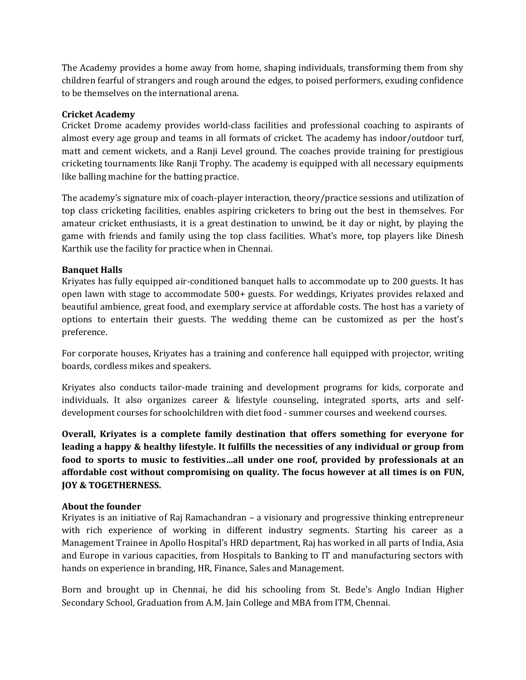The Academy provides a home away from home, shaping individuals, transforming them from shy children fearful of strangers and rough around the edges, to poised performers, exuding confidence to be themselves on the international arena.

# **Cricket Academy**

Cricket Drome academy provides world-class facilities and professional coaching to aspirants of almost every age group and teams in all formats of cricket. The academy has indoor/outdoor turf, matt and cement wickets, and a Ranji Level ground. The coaches provide training for prestigious cricketing tournaments like Ranji Trophy. The academy is equipped with all necessary equipments like balling machine for the batting practice.

The academy's signature mix of coach-player interaction, theory/practice sessions and utilization of top class cricketing facilities, enables aspiring cricketers to bring out the best in themselves. For amateur cricket enthusiasts, it is a great destination to unwind, be it day or night, by playing the game with friends and family using the top class facilities. What's more, top players like Dinesh Karthik use the facility for practice when in Chennai.

# **Banquet Halls**

Kriyates has fully equipped air-conditioned banquet halls to accommodate up to 200 guests. It has open lawn with stage to accommodate 500+ guests. For weddings, Kriyates provides relaxed and beautiful ambience, great food, and exemplary service at affordable costs. The host has a variety of options to entertain their guests. The wedding theme can be customized as per the host's preference.

For corporate houses, Kriyates has a training and conference hall equipped with projector, writing boards, cordless mikes and speakers.

Kriyates also conducts tailor-made training and development programs for kids, corporate and individuals. It also organizes career & lifestyle counseling, integrated sports, arts and selfdevelopment courses for schoolchildren with diet food - summer courses and weekend courses.

**Overall, Kriyates is a complete family destination that offers something for everyone for leading a happy & healthy lifestyle. It fulfills the necessities of any individual or group from food to sports to music to festivities…all under one roof, provided by professionals at an affordable cost without compromising on quality. The focus however at all times is on FUN, JOY & TOGETHERNESS.**

# **About the founder**

Kriyates is an initiative of Raj Ramachandran – a visionary and progressive thinking entrepreneur with rich experience of working in different industry segments. Starting his career as a Management Trainee in Apollo Hospital's HRD department, Raj has worked in all parts of India, Asia and Europe in various capacities, from Hospitals to Banking to IT and manufacturing sectors with hands on experience in branding, HR, Finance, Sales and Management.

Born and brought up in Chennai, he did his schooling from St. Bede's Anglo Indian Higher Secondary School, Graduation from A.M. Jain College and MBA from ITM, Chennai.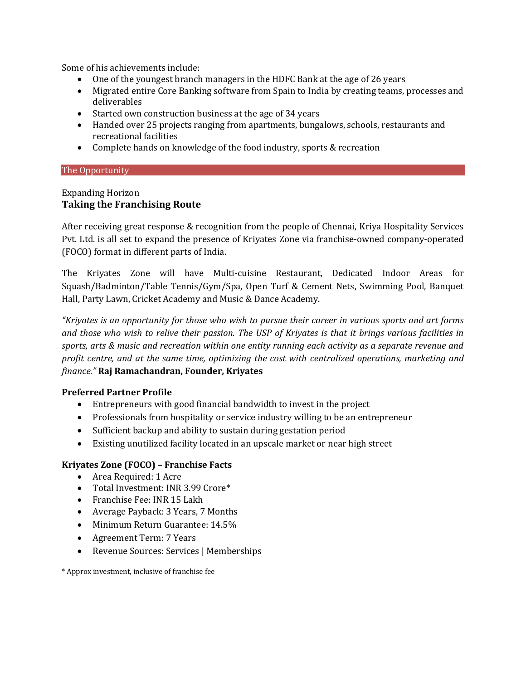Some of his achievements include:

- One of the youngest branch managers in the HDFC Bank at the age of 26 years
- Migrated entire Core Banking software from Spain to India by creating teams, processes and deliverables
- Started own construction business at the age of 34 years
- Handed over 25 projects ranging from apartments, bungalows, schools, restaurants and recreational facilities
- Complete hands on knowledge of the food industry, sports & recreation

### The Opportunity

## Expanding Horizon **Taking the Franchising Route**

After receiving great response & recognition from the people of Chennai, Kriya Hospitality Services Pvt. Ltd. is all set to expand the presence of Kriyates Zone via franchise-owned company-operated (FOCO) format in different parts of India.

The Kriyates Zone will have Multi-cuisine Restaurant, Dedicated Indoor Areas for Squash/Badminton/Table Tennis/Gym/Spa, Open Turf & Cement Nets, Swimming Pool, Banquet Hall, Party Lawn, Cricket Academy and Music & Dance Academy.

*"Kriyates is an opportunity for those who wish to pursue their career in various sports and art forms and those who wish to relive their passion. The USP of Kriyates is that it brings various facilities in sports, arts & music and recreation within one entity running each activity as a separate revenue and profit centre, and at the same time, optimizing the cost with centralized operations, marketing and finance."* **Raj Ramachandran, Founder, Kriyates**

# **Preferred Partner Profile**

- Entrepreneurs with good financial bandwidth to invest in the project
- Professionals from hospitality or service industry willing to be an entrepreneur
- Sufficient backup and ability to sustain during gestation period
- Existing unutilized facility located in an upscale market or near high street

### **Kriyates Zone (FOCO) – Franchise Facts**

- Area Required: 1 Acre
- Total Investment: INR 3.99 Crore\*
- Franchise Fee: INR 15 Lakh
- Average Payback: 3 Years, 7 Months
- Minimum Return Guarantee: 14.5%
- Agreement Term: 7 Years
- Revenue Sources: Services | Memberships

\* Approx investment, inclusive of franchise fee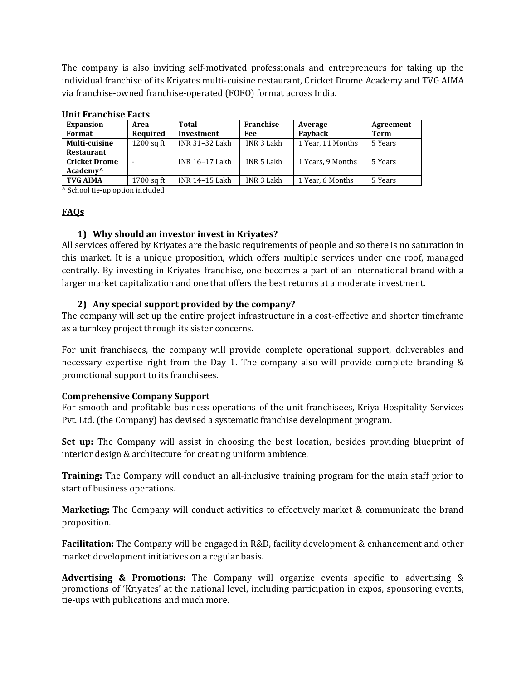The company is also inviting self-motivated professionals and entrepreneurs for taking up the individual franchise of its Kriyates multi-cuisine restaurant, Cricket Drome Academy and TVG AIMA via franchise-owned franchise-operated (FOFO) format across India.

| <u>omre i ramendo i acc</u> i |                |            |                   |           |
|-------------------------------|----------------|------------|-------------------|-----------|
| Area                          | Total          | Franchise  | Average           | Agreement |
| Required                      | Investment     | Fee        | Payback           | Term      |
| $1200$ sq ft                  | INR 31-32 Lakh | INR 3 Lakh | 1 Year, 11 Months | 5 Years   |
|                               |                |            |                   |           |
|                               | INR 16-17 Lakh | INR 5 Lakh | 1 Years, 9 Months | 5 Years   |
|                               |                |            |                   |           |
| 1700 sq ft                    | INR 14-15 Lakh | INR 3 Lakh | 1 Year, 6 Months  | 5 Years   |
|                               |                |            |                   |           |

### **Unit Franchise Facts**

^ School tie-up option included

## **FAQs**

## **1) Why should an investor invest in Kriyates?**

All services offered by Kriyates are the basic requirements of people and so there is no saturation in this market. It is a unique proposition, which offers multiple services under one roof, managed centrally. By investing in Kriyates franchise, one becomes a part of an international brand with a larger market capitalization and one that offers the best returns at a moderate investment.

## **2) Any special support provided by the company?**

The company will set up the entire project infrastructure in a cost-effective and shorter timeframe as a turnkey project through its sister concerns.

For unit franchisees, the company will provide complete operational support, deliverables and necessary expertise right from the Day 1. The company also will provide complete branding & promotional support to its franchisees.

### **Comprehensive Company Support**

For smooth and profitable business operations of the unit franchisees, Kriya Hospitality Services Pvt. Ltd. (the Company) has devised a systematic franchise development program.

**Set up:** The Company will assist in choosing the best location, besides providing blueprint of interior design & architecture for creating uniform ambience.

**Training:** The Company will conduct an all-inclusive training program for the main staff prior to start of business operations.

**Marketing:** The Company will conduct activities to effectively market & communicate the brand proposition.

**Facilitation:** The Company will be engaged in R&D, facility development & enhancement and other market development initiatives on a regular basis.

**Advertising & Promotions:** The Company will organize events specific to advertising & promotions of 'Kriyates' at the national level, including participation in expos, sponsoring events, tie-ups with publications and much more.